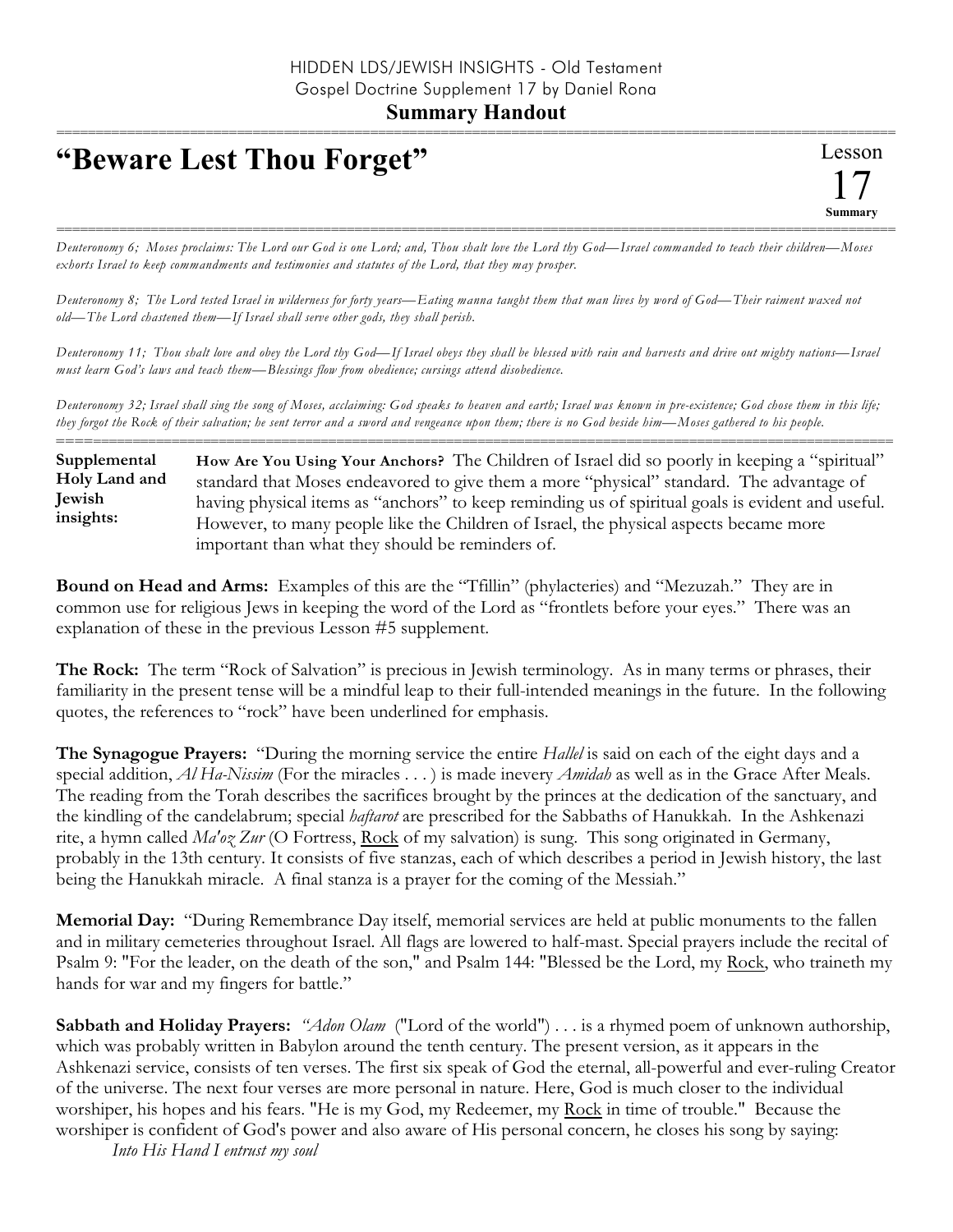## **Summary Handout**

## **"Beware Lest Thou Forget"**

=========================================================================================================== *Deuteronomy 6; Moses proclaims: The Lord our God is one Lord; and, Thou shalt love the Lord thy God—Israel commanded to teach their children—Moses exhorts Israel to keep commandments and testimonies and statutes of the Lord, that they may prosper.*

*Deuteronomy 8; The Lord tested Israel in wilderness for forty years—Eating manna taught them that man lives by word of God—Their raiment waxed not old—The Lord chastened them—If Israel shall serve other gods, they shall perish.*

*Deuteronomy 11; Thou shalt love and obey the Lord thy God—If Israel obeys they shall be blessed with rain and harvests and drive out mighty nations—Israel must learn God's laws and teach them—Blessings flow from obedience; cursings attend disobedience.*

*Deuteronomy 32; Israel shall sing the song of Moses, acclaiming: God speaks to heaven and earth; Israel was known in pre-existence; God chose them in this life; they forgot the Rock of their salvation; he sent terror and a sword and vengeance upon them; there is no God beside him—Moses gathered to his people.* ==========================================================================================================

**How Are You Using Your Anchors?** The Children of Israel did so poorly in keeping a "spiritual" standard that Moses endeavored to give them a more "physical" standard. The advantage of having physical items as "anchors" to keep reminding us of spiritual goals is evident and useful. However, to many people like the Children of Israel, the physical aspects became more important than what they should be reminders of. **Supplemental Holy Land and Jewish insights:**

**Bound on Head and Arms:** Examples of this are the "Tfillin" (phylacteries) and "Mezuzah." They are in common use for religious Jews in keeping the word of the Lord as "frontlets before your eyes." There was an explanation of these in the previous Lesson #5 supplement.

**The Rock:** The term "Rock of Salvation" is precious in Jewish terminology. As in many terms or phrases, their familiarity in the present tense will be a mindful leap to their full-intended meanings in the future. In the following quotes, the references to "rock" have been underlined for emphasis.

**The Synagogue Prayers:** "During the morning service the entire *Hallel* is said on each of the eight days and a special addition, *Al Ha-Nissim* (For the miracles . . . ) is made inevery *Amidah* as well as in the Grace After Meals. The reading from the Torah describes the sacrifices brought by the princes at the dedication of the sanctuary, and the kindling of the candelabrum; special *haftarot* are prescribed for the Sabbaths of Hanukkah. In the Ashkenazi rite, a hymn called *Ma'oz Zur* (O Fortress, Rock of my salvation) is sung. This song originated in Germany, probably in the 13th century. It consists of five stanzas, each of which describes a period in Jewish history, the last being the Hanukkah miracle. A final stanza is a prayer for the coming of the Messiah."

**Memorial Day:** "During Remembrance Day itself, memorial services are held at public monuments to the fallen and in military cemeteries throughout Israel. All flags are lowered to half-mast. Special prayers include the recital of Psalm 9: "For the leader, on the death of the son," and Psalm 144: "Blessed be the Lord, my Rock, who traineth my hands for war and my fingers for battle."

**Sabbath and Holiday Prayers:** *"Adon Olam* ("Lord of the world") . . . is a rhymed poem of unknown authorship, which was probably written in Babylon around the tenth century. The present version, as it appears in the Ashkenazi service, consists of ten verses. The first six speak of God the eternal, all-powerful and ever-ruling Creator of the universe. The next four verses are more personal in nature. Here, God is much closer to the individual worshiper, his hopes and his fears. "He is my God, my Redeemer, my Rock in time of trouble." Because the worshiper is confident of God's power and also aware of His personal concern, he closes his song by saying:

*Into His Hand I entrust my soul*